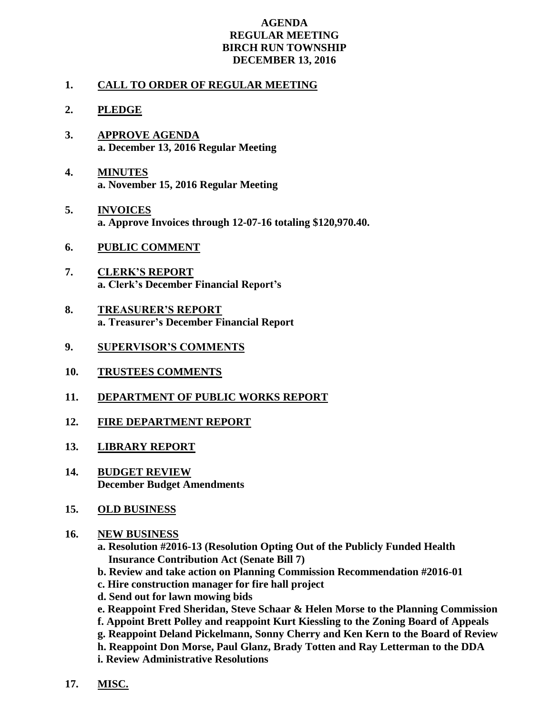## **AGENDA REGULAR MEETING BIRCH RUN TOWNSHIP DECEMBER 13, 2016**

## **1. CALL TO ORDER OF REGULAR MEETING**

## **2. PLEDGE**

- **3. APPROVE AGENDA a. December 13, 2016 Regular Meeting**
- **4. MINUTES a. November 15, 2016 Regular Meeting**
- **5. INVOICES a. Approve Invoices through 12-07-16 totaling \$120,970.40.**
- **6. PUBLIC COMMENT**
- **7. CLERK'S REPORT a. Clerk's December Financial Report's**
- **8. TREASURER'S REPORT a. Treasurer's December Financial Report**
- **9. SUPERVISOR'S COMMENTS**
- **10. TRUSTEES COMMENTS**
- **11. DEPARTMENT OF PUBLIC WORKS REPORT**
- **12. FIRE DEPARTMENT REPORT**
- **13. LIBRARY REPORT**
- **14. BUDGET REVIEW December Budget Amendments**
- **15. OLD BUSINESS**
- **16. NEW BUSINESS**

**a. Resolution #2016-13 (Resolution Opting Out of the Publicly Funded Health Insurance Contribution Act (Senate Bill 7)**

- **b. Review and take action on Planning Commission Recommendation #2016-01**
- **c. Hire construction manager for fire hall project**
- **d. Send out for lawn mowing bids**
- **e. Reappoint Fred Sheridan, Steve Schaar & Helen Morse to the Planning Commission f. Appoint Brett Polley and reappoint Kurt Kiessling to the Zoning Board of Appeals**
- **g. Reappoint Deland Pickelmann, Sonny Cherry and Ken Kern to the Board of Review**

**h. Reappoint Don Morse, Paul Glanz, Brady Totten and Ray Letterman to the DDA**

- **i. Review Administrative Resolutions**
- **17. MISC.**